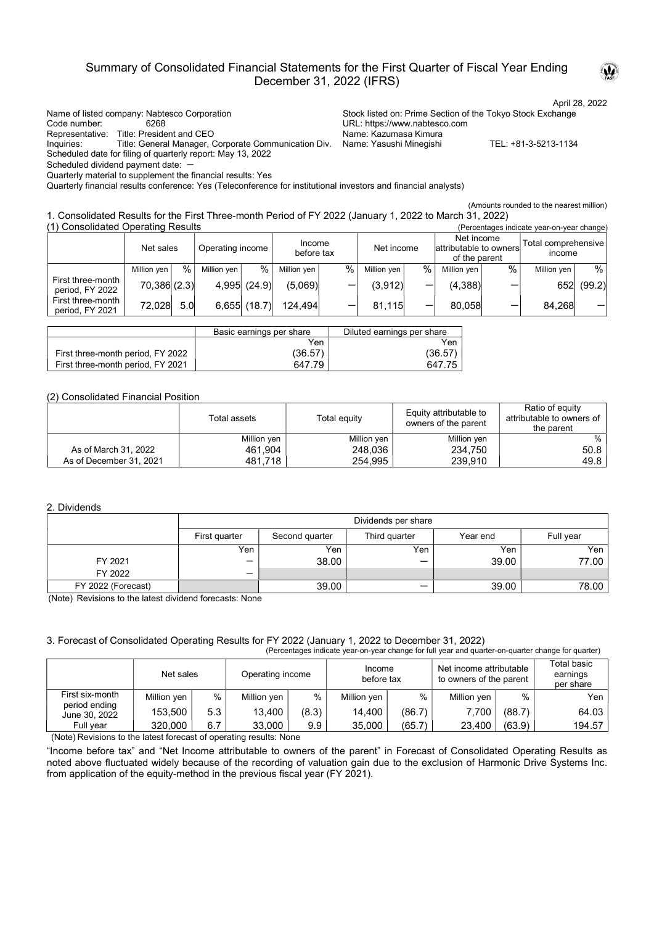# Summary of Consolidated Financial Statements for the First Quarter of Fiscal Year Ending December 31, 2022 (IFRS)

Name of listed company: Nabtesco Corporation Stock listed on: Prime Section of the Tokyo Stock Exchange Code number: 6268 URL: https://www.nabtesco.com

Representative: Title: President and CEO

Inquiries: Title: General Manager, Corporate Communication Div. Name: Yasushi Minegishi TEL: +81-3-5213-1134 Scheduled date for filing of quarterly report: May 13, 2022

Scheduled dividend payment date: -

Quarterly material to supplement the financial results: Yes

Quarterly financial results conference: Yes (Teleconference for institutional investors and financial analysts)

(Amounts rounded to the nearest million)

1. Consolidated Results for the First Three-month Period of FY 2022 (January 1, 2022 to March 31, 2022)

| (1) Consolidated Operating Results<br>(Percentages indicate year-on-year change) |             |     |                                          |                |             |      |                                                       |      |                               |      |             |        |
|----------------------------------------------------------------------------------|-------------|-----|------------------------------------------|----------------|-------------|------|-------------------------------------------------------|------|-------------------------------|------|-------------|--------|
|                                                                                  | Net sales   |     | Income<br>Operating income<br>before tax |                | Net income  |      | Net income<br>attributable to owners<br>of the parent |      | Total comprehensive<br>income |      |             |        |
|                                                                                  | Million ven | %   | Million ven                              | $\%$           | Million ven | $\%$ | Million yen                                           | $\%$ | Million ven                   | $\%$ | Million ven | %1     |
| First three-month<br>period, FY 2022                                             | 70,386(2.3) |     |                                          | $4,995$ (24.9) | (5.069)     |      | (3,912)                                               |      | (4,388)                       |      | 652         | (99.2) |
| First three-month<br>period, FY 2021                                             | 72.028      | 5.0 |                                          | 6.655(18.7)    | 124.494     |      | 81.115                                                |      | 80.058                        | –    | 84.268      |        |

|                                   | Basic earnings per share | Diluted earnings per share |
|-----------------------------------|--------------------------|----------------------------|
|                                   | Yen                      | Yen                        |
| First three-month period, FY 2022 | (36.57)                  | (36.57)                    |
| First three-month period, FY 2021 | 647.79                   | 647.75                     |

## (2) Consolidated Financial Position

|                         | Total assets | Total equity | Equity attributable to<br>owners of the parent | Ratio of equity<br>attributable to owners of<br>the parent |
|-------------------------|--------------|--------------|------------------------------------------------|------------------------------------------------------------|
|                         | Million yen  | Million yen  | Million yen                                    | %                                                          |
| As of March 31, 2022    | 461.904      | 248,036      | 234.750                                        | 50.8                                                       |
| As of December 31, 2021 | 481.718      | 254,995      | 239.910                                        | 49.8                                                       |

### 2. Dividends

|                    |               | Dividends per share |               |          |           |  |  |  |
|--------------------|---------------|---------------------|---------------|----------|-----------|--|--|--|
|                    | First quarter | Second quarter      | Third quarter | Year end | Full year |  |  |  |
|                    | Yen           | Yen                 | Yen           | Yen      | Yen       |  |  |  |
| FY 2021            |               | 38.00               | -             | 39.00    | 77.00     |  |  |  |
| FY 2022            |               |                     |               |          |           |  |  |  |
| FY 2022 (Forecast) |               | 39.00               | —             | 39.00    | 78.00     |  |  |  |

(Note) Revisions to the latest dividend forecasts: None

## 3. Forecast of Consolidated Operating Results for FY 2022 (January 1, 2022 to December 31, 2022)

| (Percentages indicate year-on-year change for full year and quarter-on-quarter change for quarter) |             |      |                  |       |                      |        |                                                    |        |                                      |
|----------------------------------------------------------------------------------------------------|-------------|------|------------------|-------|----------------------|--------|----------------------------------------------------|--------|--------------------------------------|
|                                                                                                    | Net sales   |      | Operating income |       | Income<br>before tax |        | Net income attributable<br>to owners of the parent |        | Total basic<br>earnings<br>per share |
| First six-month                                                                                    | Million yen | $\%$ | Million ven      | %     | Million ven          | %      | Million ven                                        | $\%$   | Yen                                  |
| period ending<br>June 30, 2022                                                                     | 153.500     | 5.3  | 13,400           | (8.3) | 14.400               | (86.7) | 7,700                                              | (88.7) | 64.03                                |

 (Note) Revisions to the latest forecast of operating results: None Full year 320,000 6.7 33,000 9.9 35,000 (65.7) 23,400 (63.9) 194.57

"Income before tax" and "Net Income attributable to owners of the parent" in Forecast of Consolidated Operating Results as noted above fluctuated widely because of the recording of valuation gain due to the exclusion of Harmonic Drive Systems Inc. from application of the equity-method in the previous fiscal year (FY 2021).



April 28, 2022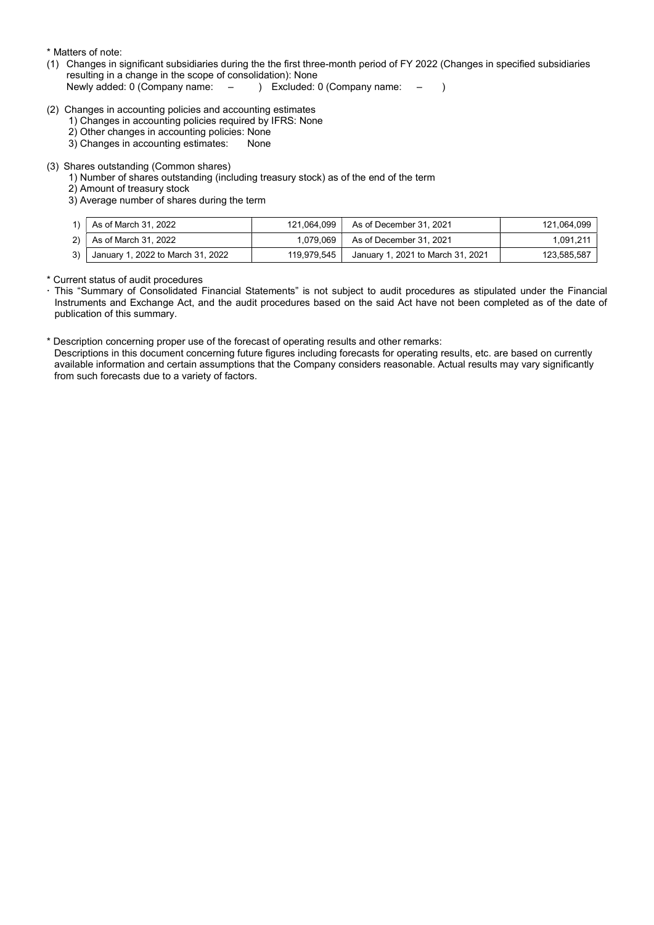\* Matters of note:

(1) Changes in significant subsidiaries during the the first three-month period of FY 2022 (Changes in specified subsidiaries resulting in a change in the scope of consolidation): None

Newly added: 0 (Company name: – ) Excluded: 0 (Company name: – )

- (2) Changes in accounting policies and accounting estimates
	- 1) Changes in accounting policies required by IFRS: None
	- 2) Other changes in accounting policies: None
	- 3) Changes in accounting estimates: None

#### (3) Shares outstanding (Common shares)

- 1) Number of shares outstanding (including treasury stock) as of the end of the term
- 2) Amount of treasury stock
- 3) Average number of shares during the term

|    | As of March 31, 2022                 | 121.064.099 | As of December 31. 2021           | 121.064.099 |
|----|--------------------------------------|-------------|-----------------------------------|-------------|
| 2) | $^{\mathrm{+}}$ As of March 31, 2022 | 1,079,069   | As of December 31, 2021           | 1.091.211   |
| 3) | January 1, 2022 to March 31, 2022    | 119.979.545 | January 1, 2021 to March 31, 2021 | 123.585.587 |

\* Current status of audit procedures

- This "Summary of Consolidated Financial Statements" is not subject to audit procedures as stipulated under the Financial Instruments and Exchange Act, and the audit procedures based on the said Act have not been completed as of the date of publication of this summary.
- \* Description concerning proper use of the forecast of operating results and other remarks:

Descriptions in this document concerning future figures including forecasts for operating results, etc. are based on currently available information and certain assumptions that the Company considers reasonable. Actual results may vary significantly from such forecasts due to a variety of factors.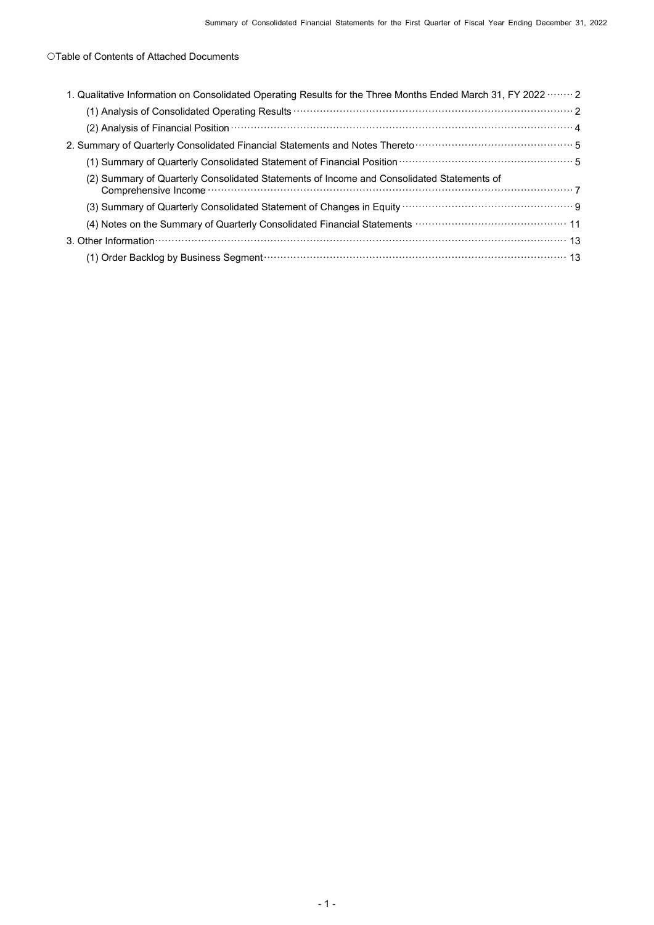# Table of Contents of Attached Documents

| 1. Qualitative Information on Consolidated Operating Results for the Three Months Ended March 31, FY 2022  2                                                                                                                   |
|--------------------------------------------------------------------------------------------------------------------------------------------------------------------------------------------------------------------------------|
|                                                                                                                                                                                                                                |
| (2) Analysis of Financial Position <b>With Commission</b> 4                                                                                                                                                                    |
| 2. Summary of Quarterly Consolidated Financial Statements and Notes Thereto mummum materials of Quarterly Consolidated Financial Statements and Notes Thereto mummum materials                                                 |
| (1) Summary of Quarterly Consolidated Statement of Financial Position (1) Summary of Quarterly Consolidated Statement of Financial Position (1) 35                                                                             |
| (2) Summary of Quarterly Consolidated Statements of Income and Consolidated Statements of                                                                                                                                      |
|                                                                                                                                                                                                                                |
|                                                                                                                                                                                                                                |
| 3. Other Information measurements are constructed as a control of the control of the control of the control of the control of the control of the control of the control of the control of the control of the control of the co |
| (1) Order Backlog by Business Segment (1) Order Management of the Second State Backlog by Business Segment (1)                                                                                                                 |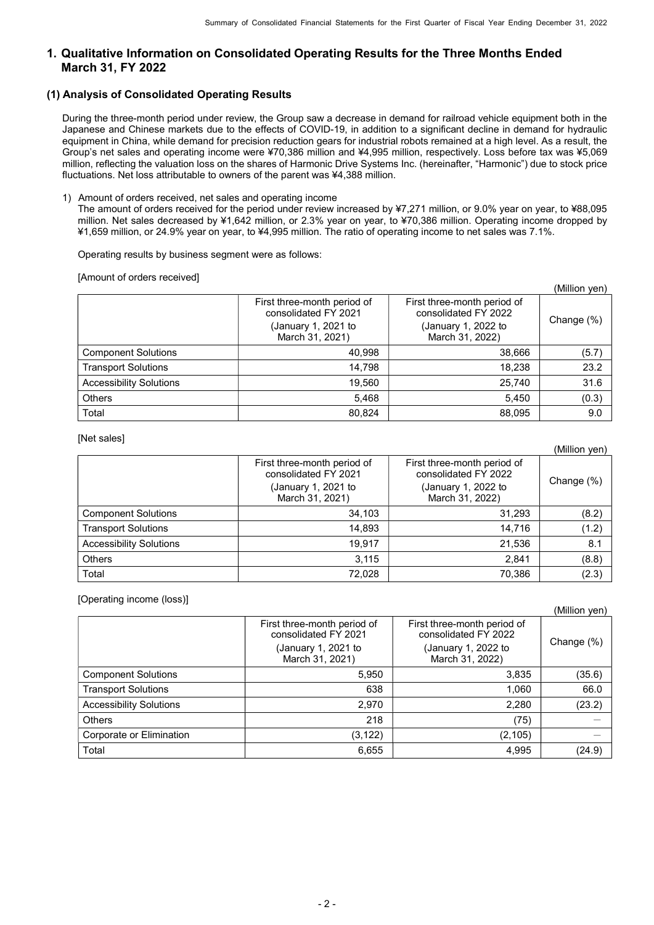# 1. Qualitative Information on Consolidated Operating Results for the Three Months Ended March 31, FY 2022

## (1) Analysis of Consolidated Operating Results

During the three-month period under review, the Group saw a decrease in demand for railroad vehicle equipment both in the Japanese and Chinese markets due to the effects of COVID-19, in addition to a significant decline in demand for hydraulic equipment in China, while demand for precision reduction gears for industrial robots remained at a high level. As a result, the Group's net sales and operating income were ¥70,386 million and ¥4,995 million, respectively. Loss before tax was ¥5,069 million, reflecting the valuation loss on the shares of Harmonic Drive Systems Inc. (hereinafter, "Harmonic") due to stock price fluctuations. Net loss attributable to owners of the parent was ¥4,388 million.

### 1) Amount of orders received, net sales and operating income

The amount of orders received for the period under review increased by ¥7,271 million, or 9.0% year on year, to ¥88,095 million. Net sales decreased by ¥1,642 million, or 2.3% year on year, to ¥70,386 million. Operating income dropped by ¥1,659 million, or 24.9% year on year, to ¥4,995 million. The ratio of operating income to net sales was 7.1%.

### Operating results by business segment were as follows:

[Amount of orders received]

|                                |                                                                            |                                                                            | (Million yen) |
|--------------------------------|----------------------------------------------------------------------------|----------------------------------------------------------------------------|---------------|
|                                | First three-month period of<br>consolidated FY 2021<br>(January 1, 2021 to | First three-month period of<br>consolidated FY 2022<br>(January 1, 2022 to | Change (%)    |
|                                | March 31, 2021)                                                            | March 31, 2022)                                                            |               |
| <b>Component Solutions</b>     | 40,998                                                                     | 38,666                                                                     | (5.7)         |
| <b>Transport Solutions</b>     | 14.798                                                                     | 18,238                                                                     | 23.2          |
| <b>Accessibility Solutions</b> | 19,560                                                                     | 25,740                                                                     | 31.6          |
| <b>Others</b>                  | 5.468                                                                      | 5,450                                                                      | (0.3)         |
| Total                          | 80,824                                                                     | 88,095                                                                     | 9.0           |

[Net sales]

|                                |                                                                                               |                                                                                               | (Million yen) |
|--------------------------------|-----------------------------------------------------------------------------------------------|-----------------------------------------------------------------------------------------------|---------------|
|                                | First three-month period of<br>consolidated FY 2021<br>(January 1, 2021 to<br>March 31, 2021) | First three-month period of<br>consolidated FY 2022<br>(January 1, 2022 to<br>March 31, 2022) | Change (%)    |
| <b>Component Solutions</b>     | 34,103                                                                                        | 31,293                                                                                        | (8.2)         |
| <b>Transport Solutions</b>     | 14.893                                                                                        | 14.716                                                                                        | (1.2)         |
| <b>Accessibility Solutions</b> | 19.917                                                                                        | 21,536                                                                                        | 8.1           |
| <b>Others</b>                  | 3.115                                                                                         | 2,841                                                                                         | (8.8)         |
| Total                          | 72.028                                                                                        | 70.386                                                                                        | (2.3)         |

[Operating income (loss)]

|                                | First three-month period of<br>consolidated FY 2021<br>(January 1, 2021 to<br>March 31, 2021) | First three-month period of<br>consolidated FY 2022<br>(January 1, 2022 to<br>March 31, 2022) | Change (%) |
|--------------------------------|-----------------------------------------------------------------------------------------------|-----------------------------------------------------------------------------------------------|------------|
| <b>Component Solutions</b>     | 5,950                                                                                         | 3,835                                                                                         | (35.6)     |
| <b>Transport Solutions</b>     | 638                                                                                           | 1,060                                                                                         | 66.0       |
| <b>Accessibility Solutions</b> | 2,970                                                                                         | 2,280                                                                                         | (23.2)     |
| <b>Others</b>                  | 218                                                                                           | (75)                                                                                          |            |
| Corporate or Elimination       | (3, 122)                                                                                      | (2, 105)                                                                                      |            |
| Total                          | 6,655                                                                                         | 4,995                                                                                         | (24.9)     |

(Million yen)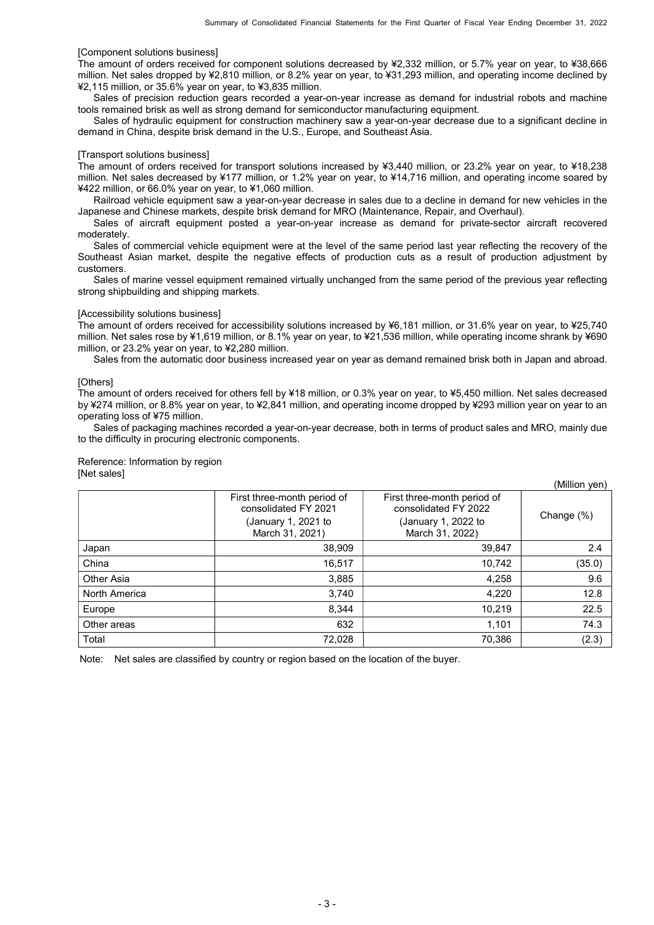### [Component solutions business]

The amount of orders received for component solutions decreased by ¥2,332 million, or 5.7% year on year, to ¥38,666 million. Net sales dropped by ¥2,810 million, or 8.2% year on year, to ¥31,293 million, and operating income declined by ¥2,115 million, or 35.6% year on year, to ¥3,835 million.

Sales of precision reduction gears recorded a year-on-year increase as demand for industrial robots and machine tools remained brisk as well as strong demand for semiconductor manufacturing equipment.

Sales of hydraulic equipment for construction machinery saw a year-on-year decrease due to a significant decline in demand in China, despite brisk demand in the U.S., Europe, and Southeast Asia.

#### [Transport solutions business]

The amount of orders received for transport solutions increased by ¥3,440 million, or 23.2% year on year, to ¥18,238 million. Net sales decreased by ¥177 million, or 1.2% year on year, to ¥14,716 million, and operating income soared by ¥422 million, or 66.0% year on year, to ¥1,060 million.

Railroad vehicle equipment saw a year-on-year decrease in sales due to a decline in demand for new vehicles in the Japanese and Chinese markets, despite brisk demand for MRO (Maintenance, Repair, and Overhaul).

Sales of aircraft equipment posted a year-on-year increase as demand for private-sector aircraft recovered moderately.

Sales of commercial vehicle equipment were at the level of the same period last year reflecting the recovery of the Southeast Asian market, despite the negative effects of production cuts as a result of production adjustment by customers.

Sales of marine vessel equipment remained virtually unchanged from the same period of the previous year reflecting strong shipbuilding and shipping markets.

#### [Accessibility solutions business]

The amount of orders received for accessibility solutions increased by ¥6,181 million, or 31.6% year on year, to ¥25,740 million. Net sales rose by ¥1,619 million, or 8.1% year on year, to ¥21,536 million, while operating income shrank by ¥690 million, or 23.2% year on year, to ¥2,280 million.

Sales from the automatic door business increased year on year as demand remained brisk both in Japan and abroad.

#### [Others]

The amount of orders received for others fell by ¥18 million, or 0.3% year on year, to ¥5,450 million. Net sales decreased by ¥274 million, or 8.8% year on year, to ¥2,841 million, and operating income dropped by ¥293 million year on year to an operating loss of ¥75 million.

Sales of packaging machines recorded a year-on-year decrease, both in terms of product sales and MRO, mainly due to the difficulty in procuring electronic components.

Reference: Information by region [Net sales]

|               |                                                                                               |                                                                                               | (Million yen) |
|---------------|-----------------------------------------------------------------------------------------------|-----------------------------------------------------------------------------------------------|---------------|
|               | First three-month period of<br>consolidated FY 2021<br>(January 1, 2021 to<br>March 31, 2021) | First three-month period of<br>consolidated FY 2022<br>(January 1, 2022 to<br>March 31, 2022) | Change (%)    |
| Japan         | 38,909                                                                                        | 39,847                                                                                        | 2.4           |
| China         | 16,517                                                                                        | 10,742                                                                                        | (35.0)        |
| Other Asia    | 3,885                                                                                         | 4,258                                                                                         | 9.6           |
| North America | 3,740                                                                                         | 4,220                                                                                         | 12.8          |
| Europe        | 8.344                                                                                         | 10.219                                                                                        | 22.5          |
| Other areas   | 632                                                                                           | 1,101                                                                                         | 74.3          |
| Total         | 72,028                                                                                        | 70,386                                                                                        | (2.3)         |

Note: Net sales are classified by country or region based on the location of the buyer.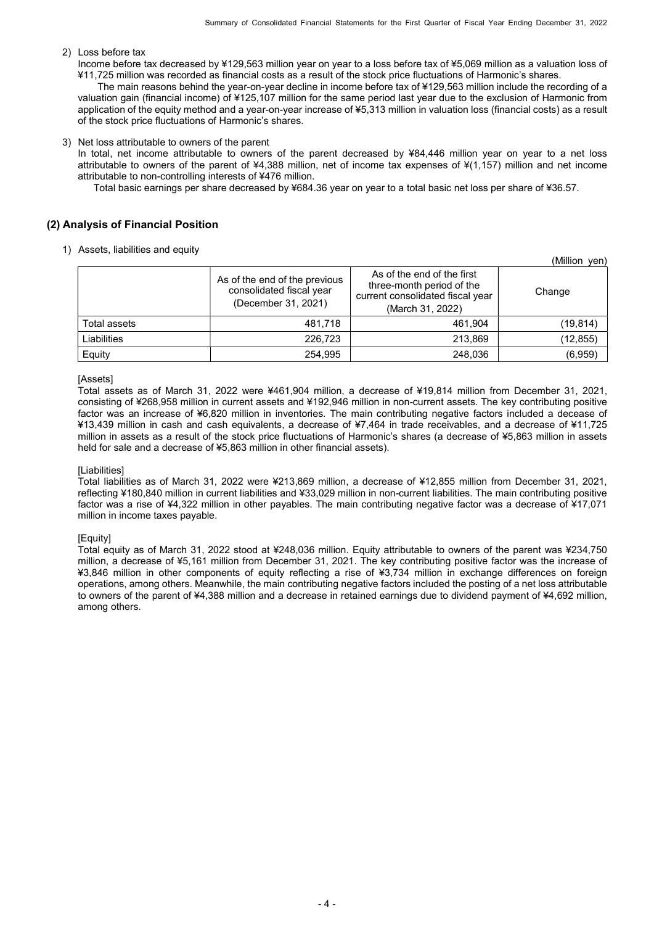(Million yen)

### 2) Loss before tax

Income before tax decreased by ¥129,563 million year on year to a loss before tax of ¥5,069 million as a valuation loss of ¥11,725 million was recorded as financial costs as a result of the stock price fluctuations of Harmonic's shares.

The main reasons behind the year-on-year decline in income before tax of ¥129,563 million include the recording of a valuation gain (financial income) of ¥125,107 million for the same period last year due to the exclusion of Harmonic from application of the equity method and a year-on-year increase of ¥5,313 million in valuation loss (financial costs) as a result of the stock price fluctuations of Harmonic's shares.

3) Net loss attributable to owners of the parent

In total, net income attributable to owners of the parent decreased by ¥84,446 million year on year to a net loss attributable to owners of the parent of ¥4,388 million, net of income tax expenses of ¥(1,157) million and net income attributable to non-controlling interests of ¥476 million.

Total basic earnings per share decreased by ¥684.36 year on year to a total basic net loss per share of ¥36.57.

### (2) Analysis of Financial Position

1) Assets, liabilities and equity

|              | As of the end of the previous<br>consolidated fiscal year<br>(December 31, 2021) | As of the end of the first<br>three-month period of the<br>current consolidated fiscal year<br>(March 31, 2022) | \!V!!!!!∪!!<br>7 Y Y I I<br>Change |
|--------------|----------------------------------------------------------------------------------|-----------------------------------------------------------------------------------------------------------------|------------------------------------|
| Total assets | 481,718                                                                          | 461.904                                                                                                         | (19, 814)                          |
| Liabilities  | 226.723                                                                          | 213,869                                                                                                         | (12, 855)                          |
| Equity       | 254,995                                                                          | 248,036                                                                                                         | (6,959)                            |

#### [Assets]

Total assets as of March 31, 2022 were ¥461,904 million, a decrease of ¥19,814 million from December 31, 2021, consisting of ¥268,958 million in current assets and ¥192,946 million in non-current assets. The key contributing positive factor was an increase of ¥6,820 million in inventories. The main contributing negative factors included a decease of ¥13,439 million in cash and cash equivalents, a decrease of ¥7,464 in trade receivables, and a decrease of ¥11,725 million in assets as a result of the stock price fluctuations of Harmonic's shares (a decrease of ¥5,863 million in assets held for sale and a decrease of ¥5,863 million in other financial assets).

#### [Liabilities]

Total liabilities as of March 31, 2022 were ¥213,869 million, a decrease of ¥12,855 million from December 31, 2021, reflecting ¥180,840 million in current liabilities and ¥33,029 million in non-current liabilities. The main contributing positive factor was a rise of ¥4,322 million in other payables. The main contributing negative factor was a decrease of ¥17,071 million in income taxes payable.

#### [Equity]

Total equity as of March 31, 2022 stood at ¥248,036 million. Equity attributable to owners of the parent was ¥234,750 million, a decrease of ¥5,161 million from December 31, 2021. The key contributing positive factor was the increase of ¥3,846 million in other components of equity reflecting a rise of ¥3,734 million in exchange differences on foreign operations, among others. Meanwhile, the main contributing negative factors included the posting of a net loss attributable to owners of the parent of ¥4,388 million and a decrease in retained earnings due to dividend payment of ¥4,692 million, among others.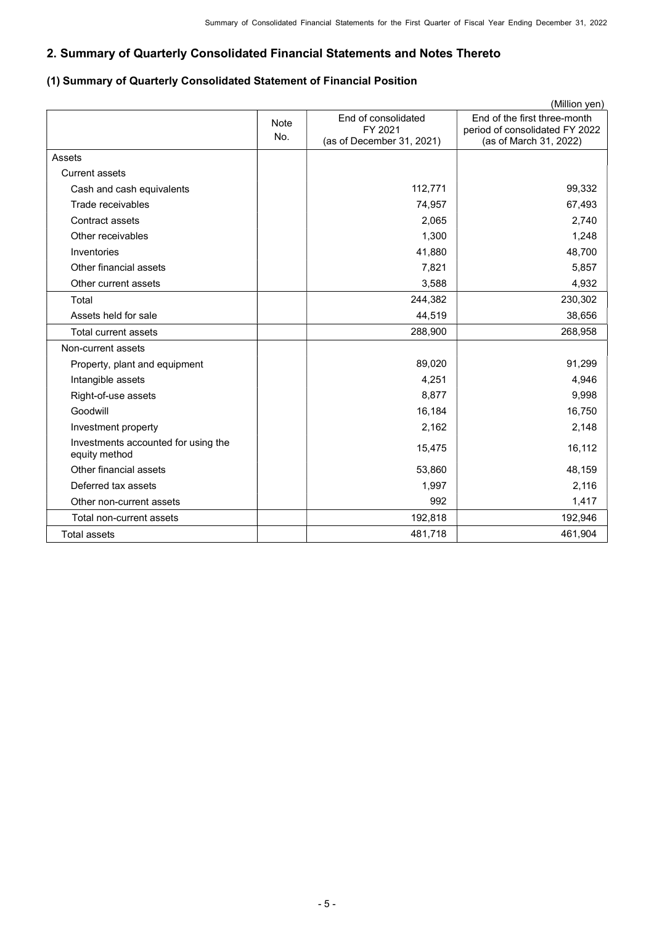# 2. Summary of Quarterly Consolidated Financial Statements and Notes Thereto

# (1) Summary of Quarterly Consolidated Statement of Financial Position

|                                                      |                    |                                                             | (Million yen)                                                                            |
|------------------------------------------------------|--------------------|-------------------------------------------------------------|------------------------------------------------------------------------------------------|
|                                                      | <b>Note</b><br>No. | End of consolidated<br>FY 2021<br>(as of December 31, 2021) | End of the first three-month<br>period of consolidated FY 2022<br>(as of March 31, 2022) |
| Assets                                               |                    |                                                             |                                                                                          |
| Current assets                                       |                    |                                                             |                                                                                          |
| Cash and cash equivalents                            |                    | 112,771                                                     | 99,332                                                                                   |
| Trade receivables                                    |                    | 74,957                                                      | 67,493                                                                                   |
| Contract assets                                      |                    | 2,065                                                       | 2,740                                                                                    |
| Other receivables                                    |                    | 1,300                                                       | 1,248                                                                                    |
| Inventories                                          |                    | 41,880                                                      | 48,700                                                                                   |
| Other financial assets                               |                    | 7,821                                                       | 5,857                                                                                    |
| Other current assets                                 |                    | 3,588                                                       | 4,932                                                                                    |
| Total                                                |                    | 244,382                                                     | 230,302                                                                                  |
| Assets held for sale                                 |                    | 44,519                                                      | 38,656                                                                                   |
| Total current assets                                 |                    | 288,900                                                     | 268,958                                                                                  |
| Non-current assets                                   |                    |                                                             |                                                                                          |
| Property, plant and equipment                        |                    | 89,020                                                      | 91,299                                                                                   |
| Intangible assets                                    |                    | 4,251                                                       | 4,946                                                                                    |
| Right-of-use assets                                  |                    | 8,877                                                       | 9,998                                                                                    |
| Goodwill                                             |                    | 16,184                                                      | 16,750                                                                                   |
| Investment property                                  |                    | 2,162                                                       | 2,148                                                                                    |
| Investments accounted for using the<br>equity method |                    | 15,475                                                      | 16,112                                                                                   |
| Other financial assets                               |                    | 53,860                                                      | 48,159                                                                                   |
| Deferred tax assets                                  |                    | 1,997                                                       | 2,116                                                                                    |
| Other non-current assets                             |                    | 992                                                         | 1,417                                                                                    |
| Total non-current assets                             |                    | 192,818                                                     | 192,946                                                                                  |
| <b>Total assets</b>                                  |                    | 481,718                                                     | 461,904                                                                                  |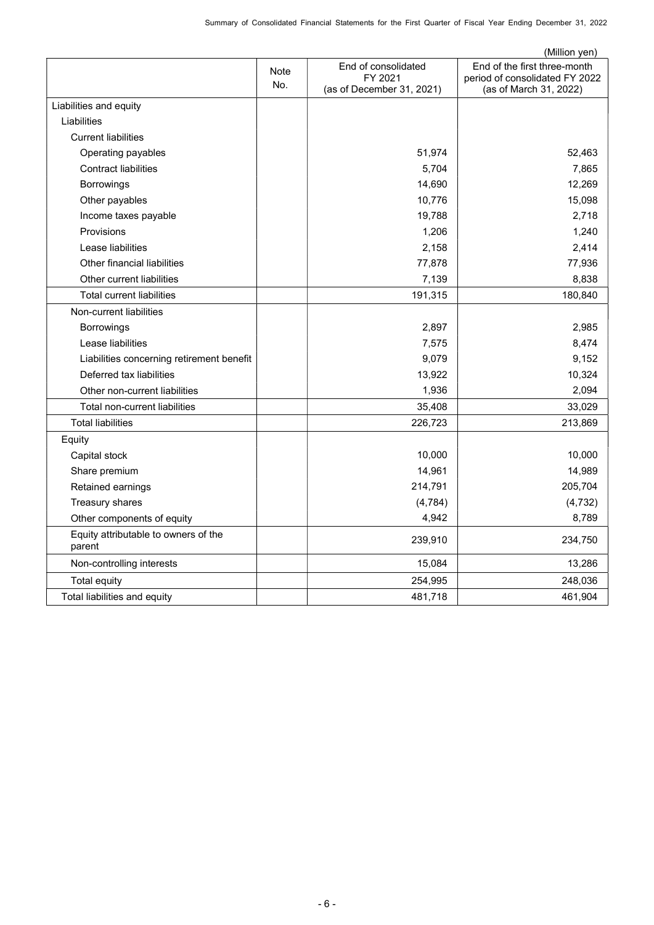|                                                |      |                                      | (Million yen)                                            |
|------------------------------------------------|------|--------------------------------------|----------------------------------------------------------|
|                                                | Note | End of consolidated                  | End of the first three-month                             |
|                                                | No.  | FY 2021<br>(as of December 31, 2021) | period of consolidated FY 2022<br>(as of March 31, 2022) |
| Liabilities and equity                         |      |                                      |                                                          |
| Liabilities                                    |      |                                      |                                                          |
|                                                |      |                                      |                                                          |
| <b>Current liabilities</b>                     |      |                                      |                                                          |
| Operating payables                             |      | 51,974                               | 52,463                                                   |
| <b>Contract liabilities</b>                    |      | 5,704                                | 7,865                                                    |
| Borrowings                                     |      | 14,690                               | 12,269                                                   |
| Other payables                                 |      | 10,776                               | 15,098                                                   |
| Income taxes payable                           |      | 19,788                               | 2,718                                                    |
| Provisions                                     |      | 1,206                                | 1,240                                                    |
| Lease liabilities                              |      | 2,158                                | 2,414                                                    |
| Other financial liabilities                    |      | 77,878                               | 77,936                                                   |
| Other current liabilities                      |      | 7,139                                | 8,838                                                    |
| <b>Total current liabilities</b>               |      | 191,315                              | 180,840                                                  |
| Non-current liabilities                        |      |                                      |                                                          |
| Borrowings                                     |      | 2,897                                | 2,985                                                    |
| Lease liabilities                              |      | 7,575                                | 8,474                                                    |
| Liabilities concerning retirement benefit      |      | 9,079                                | 9,152                                                    |
| Deferred tax liabilities                       |      | 13,922                               | 10,324                                                   |
| Other non-current liabilities                  |      | 1,936                                | 2,094                                                    |
| <b>Total non-current liabilities</b>           |      | 35,408                               | 33,029                                                   |
| <b>Total liabilities</b>                       |      | 226,723                              | 213,869                                                  |
| Equity                                         |      |                                      |                                                          |
| Capital stock                                  |      | 10,000                               | 10,000                                                   |
| Share premium                                  |      | 14,961                               | 14,989                                                   |
| Retained earnings                              |      | 214,791                              | 205,704                                                  |
| Treasury shares                                |      | (4, 784)                             | (4, 732)                                                 |
| Other components of equity                     |      | 4,942                                | 8,789                                                    |
| Equity attributable to owners of the<br>parent |      | 239,910                              | 234,750                                                  |
| Non-controlling interests                      |      | 15,084                               | 13,286                                                   |
| <b>Total equity</b>                            |      | 254,995                              | 248,036                                                  |
| Total liabilities and equity                   |      | 481,718                              | 461,904                                                  |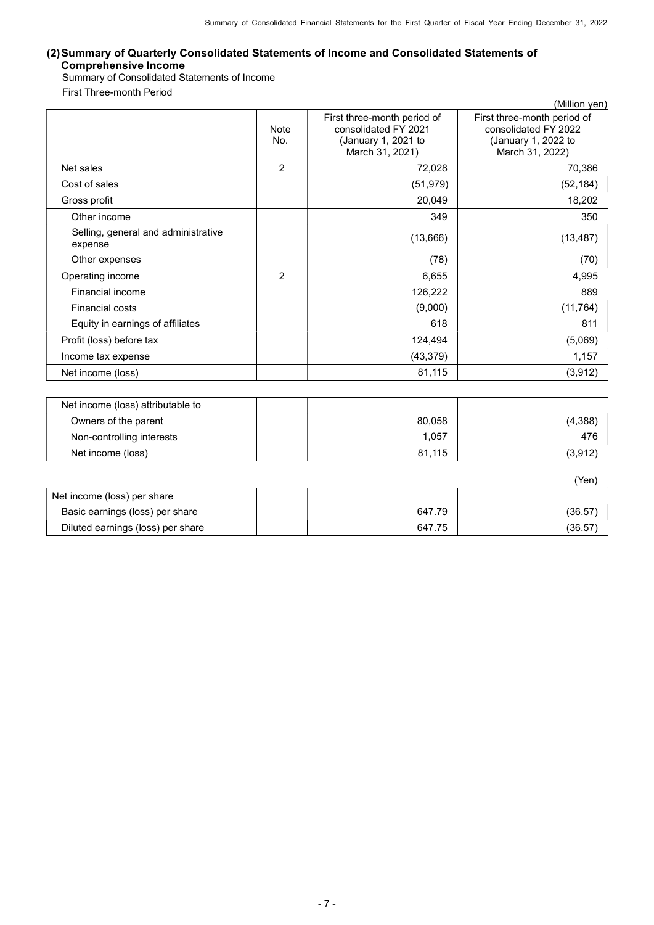## (2) Summary of Quarterly Consolidated Statements of Income and Consolidated Statements of Comprehensive Income

Summary of Consolidated Statements of Income First Three-month Period

|                                                |                |                                                                                               | (Million yen)                                                                                 |
|------------------------------------------------|----------------|-----------------------------------------------------------------------------------------------|-----------------------------------------------------------------------------------------------|
|                                                | Note<br>No.    | First three-month period of<br>consolidated FY 2021<br>(January 1, 2021 to<br>March 31, 2021) | First three-month period of<br>consolidated FY 2022<br>(January 1, 2022 to<br>March 31, 2022) |
| Net sales                                      | $\overline{2}$ | 72,028                                                                                        | 70,386                                                                                        |
| Cost of sales                                  |                | (51, 979)                                                                                     | (52, 184)                                                                                     |
| Gross profit                                   |                | 20,049                                                                                        | 18,202                                                                                        |
| Other income                                   |                | 349                                                                                           | 350                                                                                           |
| Selling, general and administrative<br>expense |                | (13,666)                                                                                      | (13, 487)                                                                                     |
| Other expenses                                 |                | (78)                                                                                          | (70)                                                                                          |
| Operating income                               | 2              | 6,655                                                                                         | 4,995                                                                                         |
| Financial income                               |                | 126,222                                                                                       | 889                                                                                           |
| <b>Financial costs</b>                         |                | (9,000)                                                                                       | (11, 764)                                                                                     |
| Equity in earnings of affiliates               |                | 618                                                                                           | 811                                                                                           |
| Profit (loss) before tax                       |                | 124,494                                                                                       | (5,069)                                                                                       |
| Income tax expense                             |                | (43, 379)                                                                                     | 1,157                                                                                         |
| Net income (loss)                              |                | 81,115                                                                                        | (3, 912)                                                                                      |

| Net income (loss) attributable to |        |         |
|-----------------------------------|--------|---------|
| Owners of the parent              | 80,058 | (4,388) |
| Non-controlling interests         | 057.،  | 476     |
| Net income (loss)                 | 81.115 | (3,912) |

|                                   |        | 'Yen)   |
|-----------------------------------|--------|---------|
| Net income (loss) per share       |        |         |
| Basic earnings (loss) per share   | 647.79 | (36.57) |
| Diluted earnings (loss) per share | 647.75 | (36.57) |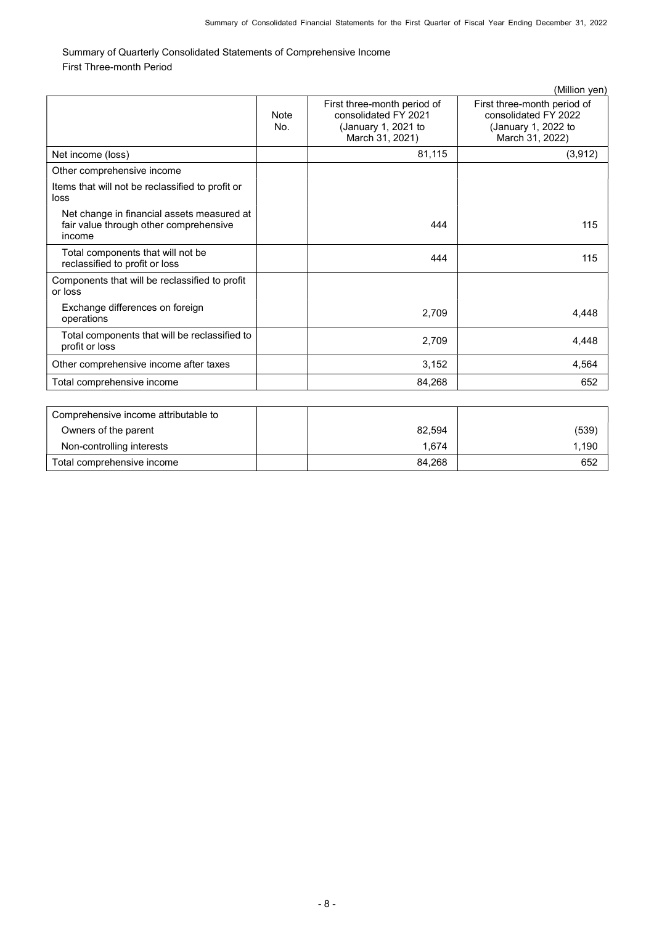Summary of Quarterly Consolidated Statements of Comprehensive Income First Three-month Period

|                                                                                                |                    |                                                                                               | (Million yen)                                                                                 |
|------------------------------------------------------------------------------------------------|--------------------|-----------------------------------------------------------------------------------------------|-----------------------------------------------------------------------------------------------|
|                                                                                                | <b>Note</b><br>No. | First three-month period of<br>consolidated FY 2021<br>(January 1, 2021 to<br>March 31, 2021) | First three-month period of<br>consolidated FY 2022<br>(January 1, 2022 to<br>March 31, 2022) |
| Net income (loss)                                                                              |                    | 81,115                                                                                        | (3, 912)                                                                                      |
| Other comprehensive income                                                                     |                    |                                                                                               |                                                                                               |
| Items that will not be reclassified to profit or<br>loss                                       |                    |                                                                                               |                                                                                               |
| Net change in financial assets measured at<br>fair value through other comprehensive<br>income |                    | 444                                                                                           | 115                                                                                           |
| Total components that will not be<br>reclassified to profit or loss                            |                    | 444                                                                                           | 115                                                                                           |
| Components that will be reclassified to profit<br>or loss                                      |                    |                                                                                               |                                                                                               |
| Exchange differences on foreign<br>operations                                                  |                    | 2,709                                                                                         | 4,448                                                                                         |
| Total components that will be reclassified to<br>profit or loss                                |                    | 2.709                                                                                         | 4,448                                                                                         |
| Other comprehensive income after taxes                                                         |                    | 3,152                                                                                         | 4,564                                                                                         |
| Total comprehensive income                                                                     |                    | 84,268                                                                                        | 652                                                                                           |
|                                                                                                |                    |                                                                                               |                                                                                               |
| Comprehensive income attributable to                                                           |                    |                                                                                               |                                                                                               |
| Owners of the parent                                                                           |                    | 82,594                                                                                        | (539)                                                                                         |
| Non-controlling interests                                                                      |                    | 1,674                                                                                         | 1,190                                                                                         |

Total comprehensive income **84,268 652 652**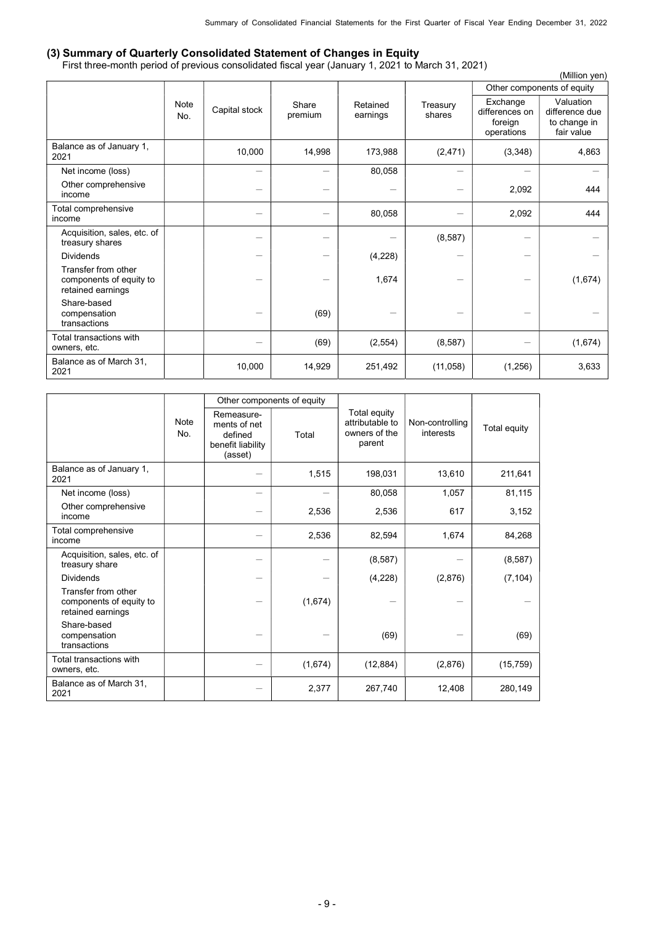## (3) Summary of Quarterly Consolidated Statement of Changes in Equity

First three-month period of previous consolidated fiscal year (January 1, 2021 to March 31, 2021)

|                                                                     |             |                          |                  |                      |                    |                                                     | (Million yen)                                             |
|---------------------------------------------------------------------|-------------|--------------------------|------------------|----------------------|--------------------|-----------------------------------------------------|-----------------------------------------------------------|
|                                                                     |             |                          |                  |                      |                    |                                                     | Other components of equity                                |
|                                                                     | Note<br>No. | Capital stock            | Share<br>premium | Retained<br>earnings | Treasury<br>shares | Exchange<br>differences on<br>foreign<br>operations | Valuation<br>difference due<br>to change in<br>fair value |
| Balance as of January 1,<br>2021                                    |             | 10,000                   | 14,998           | 173,988              | (2, 471)           | (3,348)                                             | 4,863                                                     |
| Net income (loss)                                                   |             | $\overline{\phantom{0}}$ |                  | 80,058               |                    |                                                     |                                                           |
| Other comprehensive<br>income                                       |             | $\qquad \qquad$          |                  |                      |                    | 2,092                                               | 444                                                       |
| Total comprehensive<br>income                                       |             | —                        |                  | 80,058               |                    | 2,092                                               | 444                                                       |
| Acquisition, sales, etc. of<br>treasury shares                      |             |                          |                  |                      | (8, 587)           |                                                     |                                                           |
| <b>Dividends</b>                                                    |             |                          |                  | (4,228)              |                    |                                                     |                                                           |
| Transfer from other<br>components of equity to<br>retained earnings |             |                          |                  | 1,674                |                    |                                                     | (1,674)                                                   |
| Share-based<br>compensation<br>transactions                         |             |                          | (69)             |                      |                    | $\overline{\phantom{0}}$                            |                                                           |
| Total transactions with<br>owners, etc.                             |             |                          | (69)             | (2, 554)             | (8, 587)           |                                                     | (1,674)                                                   |
| Balance as of March 31,<br>2021                                     |             | 10,000                   | 14,929           | 251,492              | (11, 058)          | (1,256)                                             | 3,633                                                     |

|                                                                     |  |                                                                       | Other components of equity |                                                            |                              |              |
|---------------------------------------------------------------------|--|-----------------------------------------------------------------------|----------------------------|------------------------------------------------------------|------------------------------|--------------|
| <b>Note</b><br>No.                                                  |  | Remeasure-<br>ments of net<br>defined<br>benefit liability<br>(asset) | Total                      | Total equity<br>attributable to<br>owners of the<br>parent | Non-controlling<br>interests | Total equity |
| Balance as of January 1,<br>2021                                    |  |                                                                       | 1,515                      | 198,031                                                    | 13,610                       | 211,641      |
| Net income (loss)                                                   |  | $\overline{\phantom{0}}$                                              |                            | 80,058                                                     | 1,057                        | 81,115       |
| Other comprehensive<br>income                                       |  |                                                                       | 2,536                      | 2,536                                                      | 617                          | 3,152        |
| Total comprehensive<br>income                                       |  |                                                                       | 2,536                      | 82,594                                                     | 1,674                        | 84,268       |
| Acquisition, sales, etc. of<br>treasury share                       |  |                                                                       |                            | (8, 587)                                                   |                              | (8, 587)     |
| <b>Dividends</b>                                                    |  |                                                                       |                            | (4,228)                                                    | (2,876)                      | (7, 104)     |
| Transfer from other<br>components of equity to<br>retained earnings |  |                                                                       | (1,674)                    |                                                            |                              |              |
| Share-based<br>compensation<br>transactions                         |  |                                                                       |                            | (69)                                                       |                              | (69)         |
| Total transactions with<br>owners, etc.                             |  |                                                                       | (1,674)                    | (12, 884)                                                  | (2,876)                      | (15, 759)    |
| Balance as of March 31.<br>2021                                     |  |                                                                       | 2,377                      | 267,740                                                    | 12,408                       | 280,149      |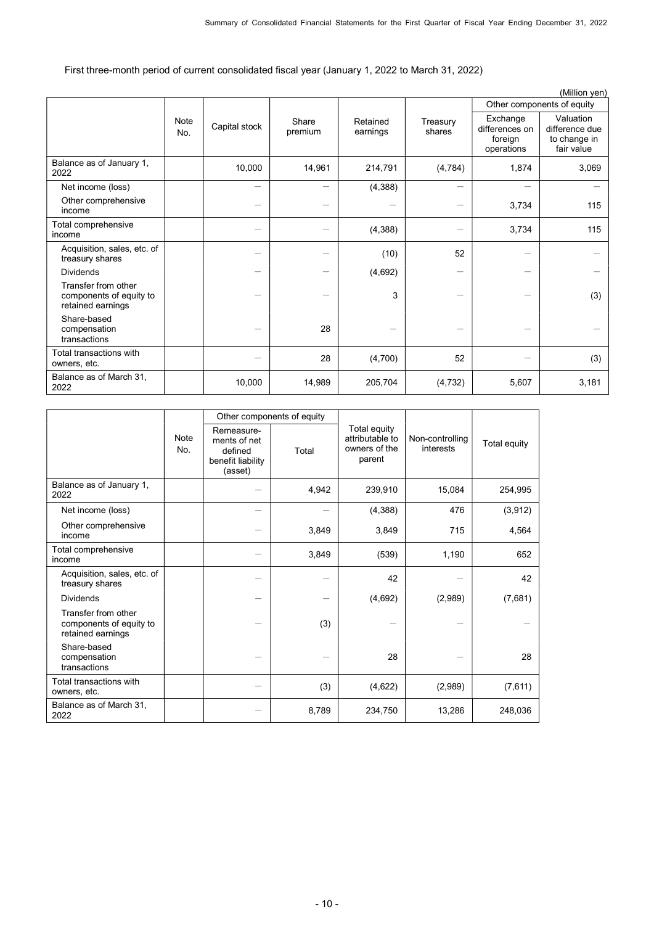First three-month period of current consolidated fiscal year (January 1, 2022 to March 31, 2022)

|                                                                     |             |               |                          |                      |                    |                                                     | (Million yen)                                             |  |
|---------------------------------------------------------------------|-------------|---------------|--------------------------|----------------------|--------------------|-----------------------------------------------------|-----------------------------------------------------------|--|
|                                                                     |             |               |                          |                      |                    | Other components of equity                          |                                                           |  |
|                                                                     | Note<br>No. | Capital stock | Share<br>premium         | Retained<br>earnings | Treasury<br>shares | Exchange<br>differences on<br>foreign<br>operations | Valuation<br>difference due<br>to change in<br>fair value |  |
| Balance as of January 1,<br>2022                                    |             | 10,000        | 14,961                   | 214,791              | (4, 784)           | 1,874                                               | 3,069                                                     |  |
| Net income (loss)                                                   |             | —             | $\overline{\phantom{0}}$ | (4, 388)             |                    |                                                     |                                                           |  |
| Other comprehensive<br>income                                       |             |               |                          |                      |                    | 3,734                                               | 115                                                       |  |
| Total comprehensive<br>income                                       |             |               |                          | (4,388)              |                    | 3,734                                               | 115                                                       |  |
| Acquisition, sales, etc. of<br>treasury shares                      |             |               |                          | (10)                 | 52                 |                                                     |                                                           |  |
| <b>Dividends</b>                                                    |             |               |                          | (4,692)              |                    |                                                     |                                                           |  |
| Transfer from other<br>components of equity to<br>retained earnings |             |               |                          | 3                    |                    |                                                     | (3)                                                       |  |
| Share-based<br>compensation<br>transactions                         |             |               | 28                       |                      |                    |                                                     |                                                           |  |
| Total transactions with<br>owners, etc.                             |             |               | 28                       | (4,700)              | 52                 |                                                     | (3)                                                       |  |
| Balance as of March 31,<br>2022                                     |             | 10,000        | 14,989                   | 205,704              | (4, 732)           | 5,607                                               | 3,181                                                     |  |

|                                                                     |                    |                                                                       | Other components of equity |                                                            |                              |              |
|---------------------------------------------------------------------|--------------------|-----------------------------------------------------------------------|----------------------------|------------------------------------------------------------|------------------------------|--------------|
|                                                                     | <b>Note</b><br>No. | Remeasure-<br>ments of net<br>defined<br>benefit liability<br>(asset) | Total                      | Total equity<br>attributable to<br>owners of the<br>parent | Non-controlling<br>interests | Total equity |
| Balance as of January 1,<br>2022                                    |                    |                                                                       | 4,942                      | 239,910                                                    | 15,084                       | 254,995      |
| Net income (loss)                                                   |                    |                                                                       |                            | (4,388)                                                    | 476                          | (3,912)      |
| Other comprehensive<br>income                                       |                    |                                                                       | 3,849                      | 3,849                                                      | 715                          | 4,564        |
| Total comprehensive<br>income                                       |                    |                                                                       | 3,849                      | (539)                                                      | 1,190                        | 652          |
| Acquisition, sales, etc. of<br>treasury shares                      |                    |                                                                       |                            | 42                                                         |                              | 42           |
| <b>Dividends</b>                                                    |                    |                                                                       |                            | (4,692)                                                    | (2,989)                      | (7,681)      |
| Transfer from other<br>components of equity to<br>retained earnings |                    |                                                                       | (3)                        |                                                            |                              |              |
| Share-based<br>compensation<br>transactions                         |                    |                                                                       |                            | 28                                                         |                              | 28           |
| Total transactions with<br>owners, etc.                             |                    |                                                                       | (3)                        | (4,622)                                                    | (2,989)                      | (7,611)      |
| Balance as of March 31.<br>2022                                     |                    |                                                                       | 8,789                      | 234,750                                                    | 13,286                       | 248,036      |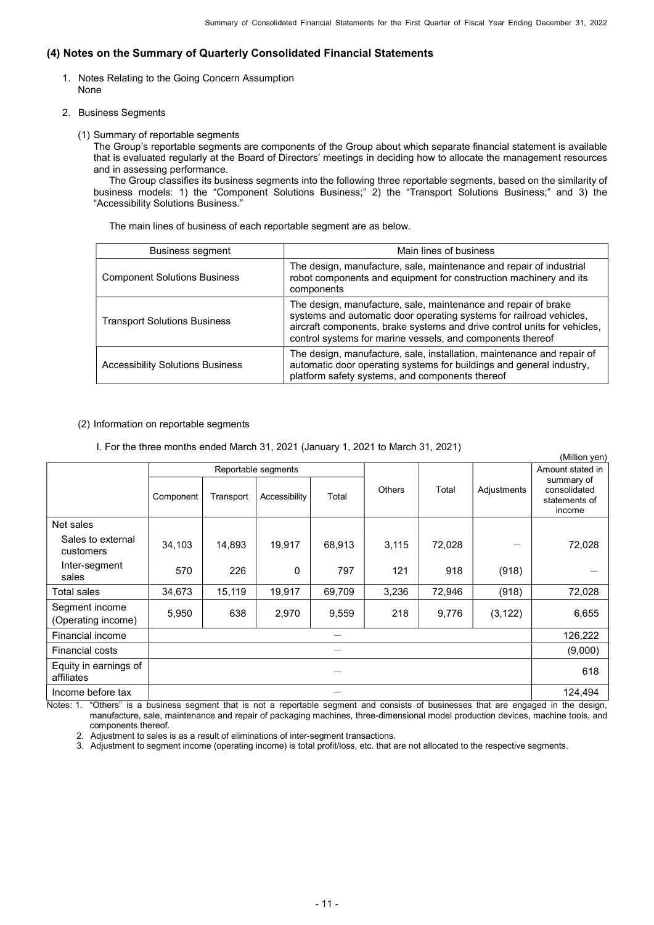# (4) Notes on the Summary of Quarterly Consolidated Financial Statements

- 1. Notes Relating to the Going Concern Assumption None
- 2. Business Segments
	- (1) Summary of reportable segments

The Group's reportable segments are components of the Group about which separate financial statement is available that is evaluated regularly at the Board of Directors' meetings in deciding how to allocate the management resources and in assessing performance.

The Group classifies its business segments into the following three reportable segments, based on the similarity of business models: 1) the "Component Solutions Business;" 2) the "Transport Solutions Business;" and 3) the "Accessibility Solutions Business."

The main lines of business of each reportable segment are as below.

| <b>Business segment</b>                 | Main lines of business                                                                                                                                                                                                                                                          |
|-----------------------------------------|---------------------------------------------------------------------------------------------------------------------------------------------------------------------------------------------------------------------------------------------------------------------------------|
| <b>Component Solutions Business</b>     | The design, manufacture, sale, maintenance and repair of industrial<br>robot components and equipment for construction machinery and its<br>components                                                                                                                          |
| <b>Transport Solutions Business</b>     | The design, manufacture, sale, maintenance and repair of brake<br>systems and automatic door operating systems for railroad vehicles,<br>aircraft components, brake systems and drive control units for vehicles,<br>control systems for marine vessels, and components thereof |
| <b>Accessibility Solutions Business</b> | The design, manufacture, sale, installation, maintenance and repair of<br>automatic door operating systems for buildings and general industry,<br>platform safety systems, and components thereof                                                                               |

 $(0, 0.01)$ 

## (2) Information on reportable segments

## I. For the three months ended March 31, 2021 (January 1, 2021 to March 31, 2021)

|                                      |           |           |                     |        |               |                  |             | (ivililion yen)                                       |
|--------------------------------------|-----------|-----------|---------------------|--------|---------------|------------------|-------------|-------------------------------------------------------|
|                                      |           |           | Reportable segments |        |               | Amount stated in |             |                                                       |
|                                      | Component | Transport | Accessibility       | Total  | <b>Others</b> | Total            | Adjustments | summary of<br>consolidated<br>statements of<br>income |
| Net sales                            |           |           |                     |        |               |                  |             |                                                       |
| Sales to external<br>customers       | 34,103    | 14,893    | 19,917              | 68,913 | 3,115         | 72,028           |             | 72,028                                                |
| Inter-segment<br>sales               | 570       | 226       | 0                   | 797    | 121           | 918              | (918)       |                                                       |
| Total sales                          | 34,673    | 15,119    | 19,917              | 69,709 | 3,236         | 72,946           | (918)       | 72,028                                                |
| Segment income<br>(Operating income) | 5,950     | 638       | 2,970               | 9,559  | 218           | 9,776            | (3, 122)    | 6,655                                                 |
| Financial income                     |           |           |                     |        |               |                  |             | 126,222                                               |
| <b>Financial costs</b>               |           |           |                     |        |               |                  |             | (9,000)                                               |
| Equity in earnings of<br>affiliates  |           |           |                     |        |               |                  |             | 618                                                   |
| Income before tax                    |           |           |                     |        |               |                  |             | 124,494                                               |

Notes: 1. "Others" is a business segment that is not a reportable segment and consists of businesses that are engaged in the design, manufacture, sale, maintenance and repair of packaging machines, three-dimensional model production devices, machine tools, and components thereof.

2. Adjustment to sales is as a result of eliminations of inter-segment transactions.

3. Adjustment to segment income (operating income) is total profit/loss, etc. that are not allocated to the respective segments.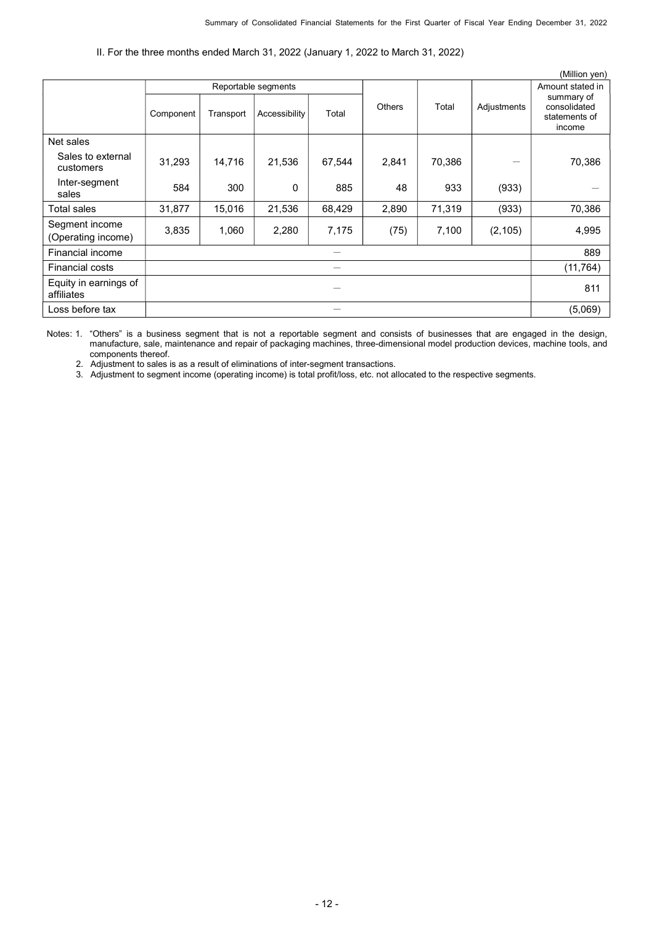## II. For the three months ended March 31, 2022 (January 1, 2022 to March 31, 2022)

|                                      |                     |           |               |        |               |        |             | (Million yen)                               |
|--------------------------------------|---------------------|-----------|---------------|--------|---------------|--------|-------------|---------------------------------------------|
|                                      | Reportable segments |           |               |        |               |        |             | Amount stated in                            |
|                                      | Component           | Transport | Accessibility | Total  | <b>Others</b> | Total  | Adjustments | summary of<br>consolidated<br>statements of |
|                                      |                     |           |               |        |               |        |             | income                                      |
| Net sales                            |                     |           |               |        |               |        |             |                                             |
| Sales to external<br>customers       | 31,293              | 14,716    | 21,536        | 67,544 | 2,841         | 70,386 |             | 70,386                                      |
| Inter-segment<br>sales               | 584                 | 300       | 0             | 885    | 48            | 933    | (933)       |                                             |
| Total sales                          | 31,877              | 15,016    | 21,536        | 68,429 | 2,890         | 71,319 | (933)       | 70,386                                      |
| Segment income<br>(Operating income) | 3,835               | 1,060     | 2,280         | 7,175  | (75)          | 7,100  | (2, 105)    | 4,995                                       |
| Financial income                     |                     |           |               |        |               |        | 889         |                                             |
| <b>Financial costs</b>               |                     |           |               |        |               |        | (11, 764)   |                                             |
| Equity in earnings of<br>affiliates  |                     |           |               |        |               |        |             | 811                                         |
| Loss before tax                      |                     |           |               |        |               |        | (5,069)     |                                             |

Notes: 1. "Others" is a business segment that is not a reportable segment and consists of businesses that are engaged in the design, manufacture, sale, maintenance and repair of packaging machines, three-dimensional model production devices, machine tools, and components thereof.

2. Adjustment to sales is as a result of eliminations of inter-segment transactions.

3. Adjustment to segment income (operating income) is total profit/loss, etc. not allocated to the respective segments.